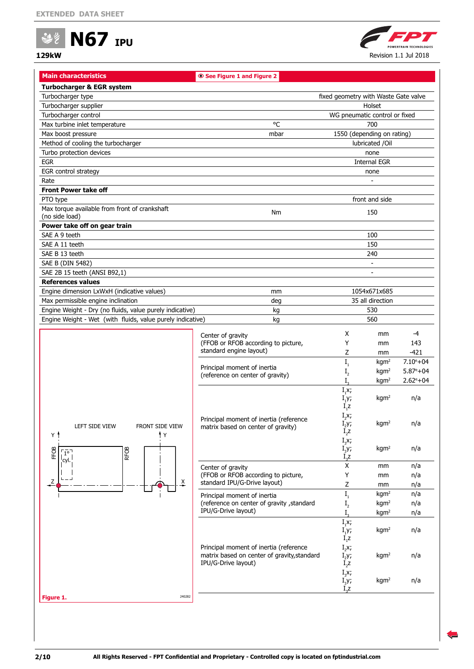



<span id="page-1-0"></span>

| <b>Main characteristics</b>                                     | <b>◎ See Figure 1 and Figure 2</b>          |                                      |                          |                     |
|-----------------------------------------------------------------|---------------------------------------------|--------------------------------------|--------------------------|---------------------|
| <b>Turbocharger &amp; EGR system</b>                            |                                             |                                      |                          |                     |
| Turbocharger type                                               |                                             | fixed geometry with Waste Gate valve |                          |                     |
| Turbocharger supplier                                           |                                             |                                      | Holset                   |                     |
| Turbocharger control                                            |                                             | WG pneumatic control or fixed        |                          |                     |
| Max turbine inlet temperature                                   | °C                                          |                                      | 700                      |                     |
| Max boost pressure                                              | mbar                                        | 1550 (depending on rating)           |                          |                     |
| Method of cooling the turbocharger                              |                                             |                                      | lubricated /Oil          |                     |
| Turbo protection devices                                        |                                             |                                      | none                     |                     |
| <b>EGR</b>                                                      |                                             |                                      | <b>Internal EGR</b>      |                     |
| EGR control strategy                                            |                                             |                                      | none                     |                     |
| Rate                                                            |                                             |                                      |                          |                     |
| <b>Front Power take off</b>                                     |                                             |                                      |                          |                     |
|                                                                 |                                             |                                      | front and side           |                     |
| PTO type                                                        |                                             |                                      |                          |                     |
| Max torque available from front of crankshaft<br>(no side load) | Nm                                          |                                      | 150                      |                     |
| Power take off on gear train                                    |                                             |                                      |                          |                     |
| SAE A 9 teeth                                                   |                                             |                                      | 100                      |                     |
| SAE A 11 teeth                                                  |                                             |                                      | 150                      |                     |
| SAE B 13 teeth                                                  |                                             |                                      | 240                      |                     |
| SAE B (DIN 5482)                                                |                                             |                                      | $\overline{\phantom{a}}$ |                     |
|                                                                 |                                             |                                      | $\overline{\phantom{a}}$ |                     |
| SAE 2B 15 teeth (ANSI B92,1)                                    |                                             |                                      |                          |                     |
| <b>References values</b>                                        |                                             |                                      |                          |                     |
| Engine dimension LxWxH (indicative values)                      | mm                                          |                                      | 1054x671x685             |                     |
| Max permissible engine inclination                              | deg                                         |                                      | 35 all direction         |                     |
| Engine Weight - Dry (no fluids, value purely indicative)        | kg                                          |                                      | 530                      |                     |
| Engine Weight - Wet (with fluids, value purely indicative)      | kg                                          |                                      | 560                      |                     |
|                                                                 | Center of gravity                           | Χ                                    | mm                       | -4                  |
|                                                                 | (FFOB or RFOB according to picture,         | Υ                                    | mm                       | 143                 |
|                                                                 | standard engine layout)                     | Z                                    | mm                       | $-421$              |
|                                                                 |                                             | $\mathbf{I}_\text{1}$                | kgm <sup>2</sup>         | $7.10^{\circ} + 04$ |
|                                                                 | Principal moment of inertia                 | I <sub>2</sub>                       | kgm <sup>2</sup>         | $5.87^{\circ}+04$   |
|                                                                 | (reference on center of gravity)            | I.                                   | kgm <sup>2</sup>         | $2.62^{\circ}+04$   |
|                                                                 |                                             | $I_1x;$                              |                          |                     |
|                                                                 |                                             | $I_1$ y;                             | kgm <sup>2</sup>         | n/a                 |
|                                                                 |                                             | $I_1Z$                               |                          |                     |
|                                                                 |                                             | $I_2x;$                              |                          |                     |
|                                                                 | Principal moment of inertia (reference      | $I_y$                                | kgm <sup>2</sup>         | n/a                 |
| <b>LEFT SIDE VIEW</b><br><b>FRONT SIDE VIEW</b>                 | matrix based on center of gravity)          | $I_2$ z                              |                          |                     |
| † Y<br>ΥŤ                                                       |                                             | $I_3x;$                              |                          |                     |
| FFOB<br>$\overline{1^{\circ}}$                                  |                                             | $I_{3}Y$ ;                           | kgm <sup>2</sup>         | n/a                 |
| RFOB<br>ˈcyl.                                                   |                                             | $I_3Z$                               |                          |                     |
|                                                                 | Center of gravity                           | X                                    | mm                       | n/a                 |
|                                                                 | (FFOB or RFOB according to picture,         | Υ                                    | mm                       | n/a                 |
| Ζ<br>$\overline{\lambda}$                                       | standard IPU/G-Drive layout)                | Z                                    | mm                       | n/a                 |
|                                                                 | Principal moment of inertia                 | $\mathbf{I}_1$                       | kgm <sup>2</sup>         | n/a                 |
|                                                                 | (reference on center of gravity , standard  | I <sub>2</sub>                       | kgm <sup>2</sup>         | n/a                 |
|                                                                 | IPU/G-Drive layout)                         | $I_{\circ}$                          | kgm <sup>2</sup>         | n/a                 |
|                                                                 |                                             | $I_1x;$                              |                          |                     |
|                                                                 |                                             | $I_1$ y;                             | kgm <sup>2</sup>         | n/a                 |
|                                                                 |                                             | $I_1Z$                               |                          |                     |
|                                                                 | Principal moment of inertia (reference      | $I_2x$ ;                             |                          |                     |
|                                                                 | matrix based on center of gravity, standard | $I_2$ y;                             | kgm <sup>2</sup>         | n/a                 |
|                                                                 | IPU/G-Drive layout)                         | $I_2Z$                               |                          |                     |
|                                                                 |                                             | $I_3x;$                              |                          |                     |
|                                                                 |                                             |                                      |                          |                     |
|                                                                 |                                             | $I_{3}y;$<br>$I_{2}Z$                | kgm <sup>2</sup>         | n/a                 |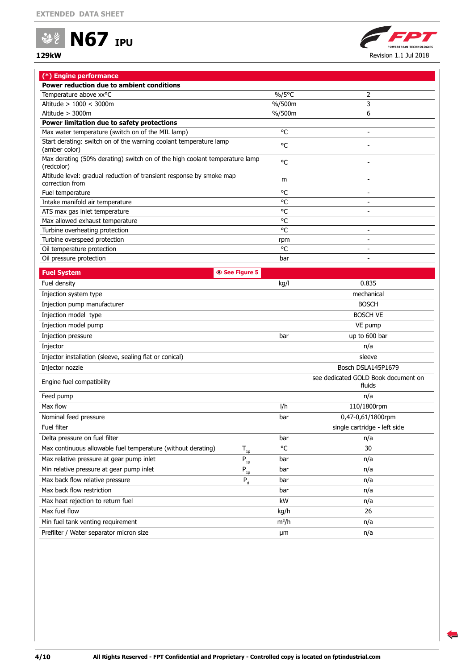



| (*) Engine performance                                                                   |         |                                               |  |  |  |  |
|------------------------------------------------------------------------------------------|---------|-----------------------------------------------|--|--|--|--|
| Power reduction due to ambient conditions                                                |         |                                               |  |  |  |  |
| Temperature above xx°C                                                                   | %/5°C   | 2                                             |  |  |  |  |
| Altitude > 1000 < 3000m                                                                  | %/500m  | 3                                             |  |  |  |  |
| Altitude > 3000m                                                                         | %/500m  | 6                                             |  |  |  |  |
| Power limitation due to safety protections                                               |         |                                               |  |  |  |  |
| Max water temperature (switch on of the MIL lamp)                                        | °C      | $\overline{\phantom{0}}$                      |  |  |  |  |
| Start derating: switch on of the warning coolant temperature lamp<br>(amber color)       | °C      |                                               |  |  |  |  |
| Max derating (50% derating) switch on of the high coolant temperature lamp<br>(redcolor) | °C      |                                               |  |  |  |  |
| Altitude level: gradual reduction of transient response by smoke map<br>correction from  | m       |                                               |  |  |  |  |
| Fuel temperature                                                                         | °C      | $\overline{\phantom{a}}$                      |  |  |  |  |
| Intake manifold air temperature                                                          | °C      | $\blacksquare$                                |  |  |  |  |
| ATS max gas inlet temperature                                                            | °C      | $\overline{\phantom{a}}$                      |  |  |  |  |
| Max allowed exhaust temperature                                                          | °C      |                                               |  |  |  |  |
| Turbine overheating protection                                                           | °C      | $\overline{\phantom{a}}$                      |  |  |  |  |
| Turbine overspeed protection                                                             | rpm     | $\overline{\phantom{a}}$                      |  |  |  |  |
| Oil temperature protection                                                               | °C      | $\overline{\phantom{a}}$                      |  |  |  |  |
| Oil pressure protection                                                                  | bar     | $\overline{\phantom{a}}$                      |  |  |  |  |
| <b>Fuel System</b><br>See Figure 5                                                       |         |                                               |  |  |  |  |
| Fuel density                                                                             | kg/l    | 0.835                                         |  |  |  |  |
| Injection system type                                                                    |         | mechanical                                    |  |  |  |  |
| Injection pump manufacturer                                                              |         | <b>BOSCH</b>                                  |  |  |  |  |
| Injection model type                                                                     |         | <b>BOSCH VE</b>                               |  |  |  |  |
| Injection model pump                                                                     |         | VE pump                                       |  |  |  |  |
| Injection pressure                                                                       | bar     | up to 600 bar                                 |  |  |  |  |
| Injector                                                                                 |         | n/a                                           |  |  |  |  |
| Injector installation (sleeve, sealing flat or conical)                                  |         | sleeve                                        |  |  |  |  |
| Injector nozzle                                                                          |         | Bosch DSLA145P1679                            |  |  |  |  |
| Engine fuel compatibility                                                                |         | see dedicated GOLD Book document on<br>fluids |  |  |  |  |
| Feed pump                                                                                |         | n/a                                           |  |  |  |  |
| Max flow                                                                                 | l/h     | 110/1800rpm                                   |  |  |  |  |
| Nominal feed pressure                                                                    | bar     | 0,47-0,61/1800rpm                             |  |  |  |  |
| Fuel filter                                                                              |         | single cartridge - left side                  |  |  |  |  |
| Delta pressure on fuel filter                                                            | bar     | n/a                                           |  |  |  |  |
| Max continuous allowable fuel temperature (without derating)<br>$T_{_{1p}}$              | °C      | 30                                            |  |  |  |  |
| Max relative pressure at gear pump inlet<br>$P_{1p}$                                     | bar     | n/a                                           |  |  |  |  |
| Min relative pressure at gear pump inlet<br>$P_{1p}$                                     | bar     | n/a                                           |  |  |  |  |
| Max back flow relative pressure<br>$P_{rl}$                                              | bar     | n/a                                           |  |  |  |  |
| Max back flow restriction                                                                | bar     | n/a                                           |  |  |  |  |
| Max heat rejection to return fuel                                                        | kW      | n/a                                           |  |  |  |  |
| Max fuel flow                                                                            | kg/h    | 26                                            |  |  |  |  |
| Min fuel tank venting requirement                                                        | $m^3/h$ | n/a                                           |  |  |  |  |

Prefilter / Water separator micron size **1988** and 2008 and 2008 and 2008 and 2008 and 2008 and 2008 and 2008 and 2008 and 2008 and 2008 and 2008 and 2008 and 2008 and 2008 and 2008 and 2008 and 2008 and 2008 and 2008 and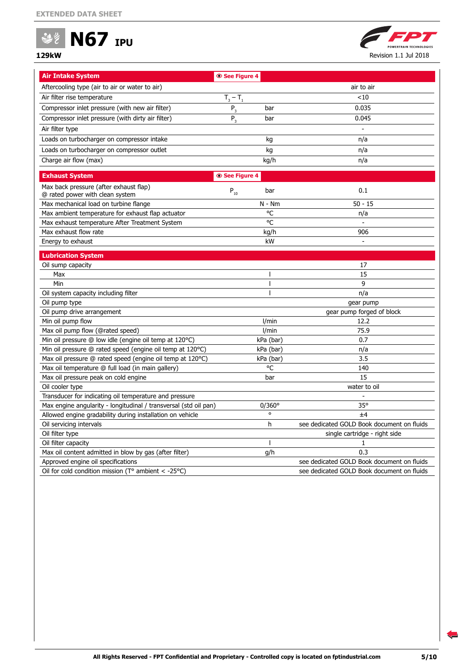



| <b>Air Intake System</b>                                                 | <b>© See Figure 4</b> |                 |                                            |
|--------------------------------------------------------------------------|-----------------------|-----------------|--------------------------------------------|
| Aftercooling type (air to air or water to air)                           |                       |                 | air to air                                 |
| Air filter rise temperature                                              | $T_3 - T_1$           |                 | < 10                                       |
| Compressor inlet pressure (with new air filter)                          | $P_3$                 | bar             | 0.035                                      |
| Compressor inlet pressure (with dirty air filter)                        | $P_3$                 | bar             | 0.045                                      |
| Air filter type                                                          |                       |                 |                                            |
| Loads on turbocharger on compressor intake                               |                       | kg              | n/a                                        |
| Loads on turbocharger on compressor outlet                               |                       | kg              | n/a                                        |
| Charge air flow (max)                                                    |                       | kg/h            | n/a                                        |
|                                                                          |                       |                 |                                            |
| <b>Exhaust System</b>                                                    | <b>© See Figure 4</b> |                 |                                            |
| Max back pressure (after exhaust flap)                                   | $P_{10}$              | bar             | 0.1                                        |
| @ rated power with clean system                                          |                       |                 |                                            |
| Max mechanical load on turbine flange                                    |                       | $N - Nm$        | $50 - 15$                                  |
| Max ambient temperature for exhaust flap actuator                        |                       | °C              | n/a                                        |
| Max exhaust temperature After Treatment System                           |                       | °C              |                                            |
| Max exhaust flow rate                                                    |                       | kg/h            | 906                                        |
| Energy to exhaust                                                        |                       | kW              |                                            |
| <b>Lubrication System</b>                                                |                       |                 |                                            |
| Oil sump capacity                                                        |                       |                 | 17                                         |
| Max                                                                      |                       | J.              | 15                                         |
| Min                                                                      |                       | ı               | 9                                          |
| Oil system capacity including filter                                     |                       | ı               | n/a                                        |
| Oil pump type                                                            |                       |                 | gear pump                                  |
| Oil pump drive arrangement                                               |                       |                 | gear pump forged of block                  |
| Min oil pump flow                                                        |                       | I/min           | 12.2                                       |
| Max oil pump flow (@rated speed)                                         |                       | I/min           | 75.9                                       |
| Min oil pressure @ low idle (engine oil temp at 120°C)                   |                       | kPa (bar)       | 0.7                                        |
| Min oil pressure @ rated speed (engine oil temp at 120 °C)               |                       | kPa (bar)       | n/a                                        |
| Max oil pressure @ rated speed (engine oil temp at 120°C)                |                       | kPa (bar)       | 3.5                                        |
| Max oil temperature @ full load (in main gallery)                        |                       | °C              | 140                                        |
| Max oil pressure peak on cold engine                                     |                       | bar             | 15                                         |
| Oil cooler type                                                          |                       |                 | water to oil                               |
| Transducer for indicating oil temperature and pressure                   |                       |                 |                                            |
| Max engine angularity - longitudinal / transversal (std oil pan)         |                       | $0/360^{\circ}$ | $35^\circ$                                 |
| Allowed engine gradability during installation on vehicle                |                       | $\circ$         | ±4                                         |
| Oil servicing intervals                                                  |                       | h               | see dedicated GOLD Book document on fluids |
| Oil filter type                                                          |                       |                 | single cartridge - right side              |
| Oil filter capacity                                                      |                       |                 | 1                                          |
| Max oil content admitted in blow by gas (after filter)                   |                       | g/h             | 0.3                                        |
| Approved engine oil specifications                                       |                       |                 | see dedicated GOLD Book document on fluids |
| Oil for cold condition mission ( $T^{\circ}$ ambient < -25 $^{\circ}$ C) |                       |                 | see dedicated GOLD Book document on fluids |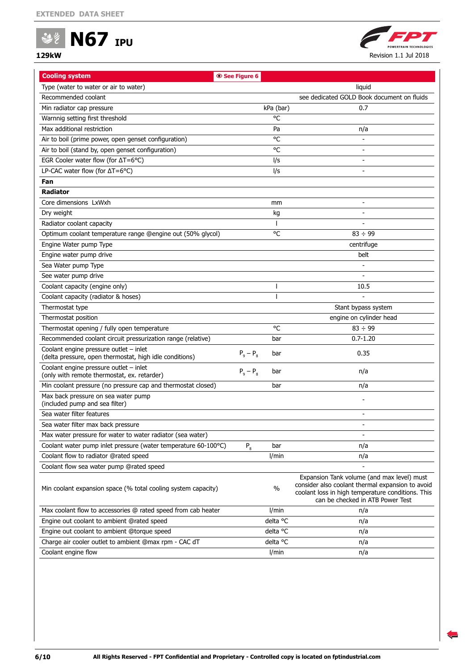



| <b>Cooling system</b>                                                                             | See Figure 6    |           |                                                                                                                                                                                         |
|---------------------------------------------------------------------------------------------------|-----------------|-----------|-----------------------------------------------------------------------------------------------------------------------------------------------------------------------------------------|
| Type (water to water or air to water)                                                             |                 |           | liquid                                                                                                                                                                                  |
| Recommended coolant                                                                               |                 |           | see dedicated GOLD Book document on fluids                                                                                                                                              |
| Min radiator cap pressure                                                                         |                 | kPa (bar) | 0.7                                                                                                                                                                                     |
| Warnnig setting first threshold                                                                   |                 | °C        |                                                                                                                                                                                         |
| Max additional restriction                                                                        |                 | Pa        | n/a                                                                                                                                                                                     |
| Air to boil (prime power, open genset configuration)                                              |                 | °C        |                                                                                                                                                                                         |
| Air to boil (stand by, open genset configuration)                                                 |                 | °C        |                                                                                                                                                                                         |
| EGR Cooler water flow (for $\Delta T = 6^{\circ}C$ )                                              |                 | l/s       |                                                                                                                                                                                         |
| LP-CAC water flow (for $\Delta T = 6^{\circ}C$ )                                                  |                 | l/s       |                                                                                                                                                                                         |
| Fan                                                                                               |                 |           |                                                                                                                                                                                         |
| <b>Radiator</b>                                                                                   |                 |           |                                                                                                                                                                                         |
| Core dimensions LxWxh                                                                             |                 | mm        |                                                                                                                                                                                         |
| Dry weight                                                                                        |                 | kg        |                                                                                                                                                                                         |
| Radiator coolant capacity                                                                         |                 |           |                                                                                                                                                                                         |
| Optimum coolant temperature range @engine out (50% glycol)                                        |                 | °C        | $83 \div 99$                                                                                                                                                                            |
| Engine Water pump Type                                                                            |                 |           | centrifuge                                                                                                                                                                              |
| Engine water pump drive                                                                           |                 |           | belt                                                                                                                                                                                    |
| Sea Water pump Type                                                                               |                 |           |                                                                                                                                                                                         |
| See water pump drive                                                                              |                 |           |                                                                                                                                                                                         |
| Coolant capacity (engine only)                                                                    |                 |           | 10.5                                                                                                                                                                                    |
| Coolant capacity (radiator & hoses)                                                               |                 |           |                                                                                                                                                                                         |
| Thermostat type                                                                                   |                 |           | Stant bypass system                                                                                                                                                                     |
| Thermostat position                                                                               |                 |           | engine on cylinder head                                                                                                                                                                 |
| Thermostat opening / fully open temperature                                                       |                 | °C        | $83 \div 99$                                                                                                                                                                            |
| Recommended coolant circuit pressurization range (relative)                                       |                 | bar       | $0.7 - 1.20$                                                                                                                                                                            |
| Coolant engine pressure outlet - inlet<br>(delta pressure, open thermostat, high idle conditions) | $P_9 - P_8$     | bar       | 0.35                                                                                                                                                                                    |
| Coolant engine pressure outlet - inlet<br>(only with remote thermostat, ex. retarder)             | $P_{9} - P_{8}$ | bar       | n/a                                                                                                                                                                                     |
| Min coolant pressure (no pressure cap and thermostat closed)                                      |                 | bar       | n/a                                                                                                                                                                                     |
| Max back pressure on sea water pump<br>(included pump and sea filter)                             |                 |           |                                                                                                                                                                                         |
| Sea water filter features                                                                         |                 |           |                                                                                                                                                                                         |
| Sea water filter max back pressure                                                                |                 |           |                                                                                                                                                                                         |
| Max water pressure for water to water radiator (sea water)                                        |                 |           |                                                                                                                                                                                         |
| Coolant water pump inlet pressure (water temperature 60-100°C)                                    | $P_8$           | bar       | n/a                                                                                                                                                                                     |
| Coolant flow to radiator @rated speed                                                             |                 | I/min     | n/a                                                                                                                                                                                     |
| Coolant flow sea water pump @rated speed                                                          |                 |           |                                                                                                                                                                                         |
| Min coolant expansion space (% total cooling system capacity)                                     |                 | $\%$      | Expansion Tank volume (and max level) must<br>consider also coolant thermal expansion to avoid<br>coolant loss in high temperature conditions. This<br>can be checked in ATB Power Test |
| Max coolant flow to accessories @ rated speed from cab heater                                     |                 | I/min     | n/a                                                                                                                                                                                     |
| Engine out coolant to ambient @rated speed                                                        |                 | delta °C  | n/a                                                                                                                                                                                     |
| Engine out coolant to ambient @torque speed                                                       |                 | delta °C  | n/a                                                                                                                                                                                     |
| Charge air cooler outlet to ambient @max rpm - CAC dT                                             |                 | delta °C  | n/a                                                                                                                                                                                     |
| Coolant engine flow                                                                               |                 | l/min     | n/a                                                                                                                                                                                     |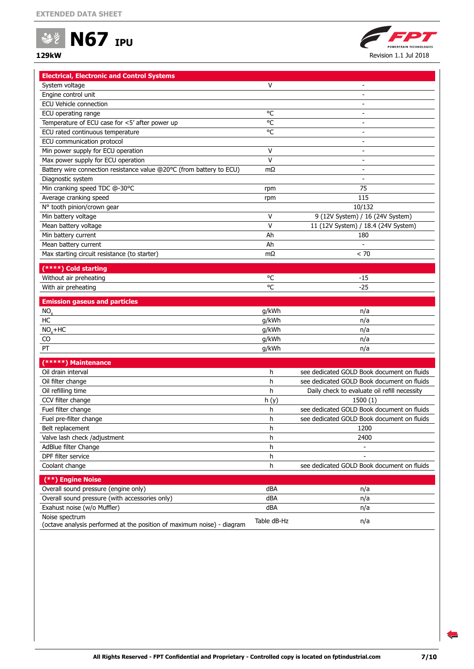



| <b>Electrical, Electronic and Control Systems</b>                      |             |                                              |
|------------------------------------------------------------------------|-------------|----------------------------------------------|
| System voltage                                                         | v           |                                              |
| Engine control unit                                                    |             |                                              |
| <b>ECU Vehicle connection</b>                                          |             |                                              |
| ECU operating range                                                    | °C          | $\qquad \qquad \blacksquare$                 |
| Temperature of ECU case for <5' after power up                         | °C          | $\overline{\phantom{0}}$                     |
| ECU rated continuous temperature                                       | °C          | $\overline{\phantom{0}}$                     |
| ECU communication protocol                                             |             | $\overline{\phantom{0}}$                     |
| Min power supply for ECU operation                                     | V           | $\overline{\phantom{a}}$                     |
| Max power supply for ECU operation                                     | v           | $\overline{\phantom{a}}$                     |
| Battery wire connection resistance value @20°C (from battery to ECU)   | mΩ          | $\overline{\phantom{a}}$                     |
| Diagnostic system                                                      |             | $\overline{\phantom{a}}$                     |
| Min cranking speed TDC @-30°C                                          | rpm         | 75                                           |
| Average cranking speed                                                 | rpm         | 115                                          |
| N° tooth pinion/crown gear                                             |             | 10/132                                       |
| Min battery voltage                                                    | V           | 9 (12V System) / 16 (24V System)             |
| Mean battery voltage                                                   | V           | 11 (12V System) / 18.4 (24V System)          |
| Min battery current                                                    | Ah          | 180                                          |
| Mean battery current                                                   | Ah          |                                              |
| Max starting circuit resistance (to starter)                           | $m\Omega$   | < 70                                         |
|                                                                        |             |                                              |
| (****) Cold starting                                                   |             |                                              |
| Without air preheating                                                 | °C          | $-15$                                        |
| With air preheating                                                    | °C          | $-25$                                        |
| <b>Emission gaseus and particles</b>                                   |             |                                              |
| NO <sub>x</sub>                                                        | g/kWh       | n/a                                          |
| HC                                                                     | g/kWh       | n/a                                          |
| $NOx+HC$                                                               | g/kWh       | n/a                                          |
| CO                                                                     | g/kWh       | n/a                                          |
| PT                                                                     | g/kWh       | n/a                                          |
|                                                                        |             |                                              |
| (*****) Maintenance                                                    |             |                                              |
| Oil drain interval                                                     | h           | see dedicated GOLD Book document on fluids   |
| Oil filter change                                                      | h           | see dedicated GOLD Book document on fluids   |
| Oil refilling time                                                     | h           | Daily check to evaluate oil refill necessity |
| CCV filter change                                                      | h(y)        | 1500(1)                                      |
| Fuel filter change                                                     | h           | see dedicated GOLD Book document on fluids   |
| Fuel pre-filter change                                                 | h           | see dedicated GOLD Book document on fluids   |
| Belt replacement                                                       | h           | 1200                                         |
| Valve lash check /adjustment                                           | h           | 2400                                         |
| AdBlue filter Change                                                   | h           | $\overline{a}$                               |
| DPF filter service                                                     | h           |                                              |
| Coolant change                                                         | h           | see dedicated GOLD Book document on fluids   |
| (**) Engine Noise                                                      |             |                                              |
| Overall sound pressure (engine only)                                   | dBA         | n/a                                          |
| Overall sound pressure (with accessories only)                         | dBA         | n/a                                          |
| Exahust noise (w/o Muffler)                                            | dBA         | n/a                                          |
| Noise spectrum                                                         |             |                                              |
| (octave analysis performed at the position of maximum noise) - diagram | Table dB-Hz | n/a                                          |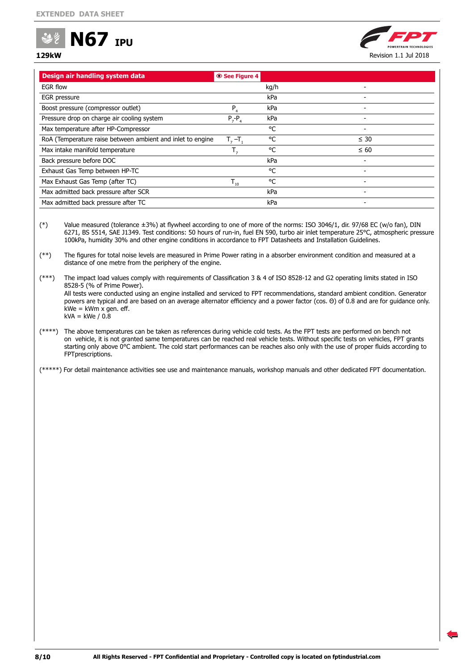

# **129kW** Revision 1.1 Jul 2018

| kg/h<br>kPa<br>kPa<br>P<br>kPa<br>$P_7 - P_4$<br>°C<br>°C<br>$T2 - T1$<br>°C<br>kPa<br>°C<br>°C<br>$T_{10}$<br>kPa<br>kPa | Design air handling system data                            | <b>◎ See Figure 4</b> |  |
|---------------------------------------------------------------------------------------------------------------------------|------------------------------------------------------------|-----------------------|--|
|                                                                                                                           | EGR flow                                                   |                       |  |
|                                                                                                                           | EGR pressure                                               |                       |  |
|                                                                                                                           | Boost pressure (compressor outlet)                         |                       |  |
|                                                                                                                           | Pressure drop on charge air cooling system                 |                       |  |
|                                                                                                                           | Max temperature after HP-Compressor                        |                       |  |
|                                                                                                                           | RoA (Temperature raise between ambient and inlet to engine |                       |  |
|                                                                                                                           | Max intake manifold temperature                            |                       |  |
|                                                                                                                           | Back pressure before DOC                                   |                       |  |
|                                                                                                                           | Exhaust Gas Temp between HP-TC                             |                       |  |
|                                                                                                                           | Max Exhaust Gas Temp (after TC)                            |                       |  |
|                                                                                                                           | Max admitted back pressure after SCR                       |                       |  |
|                                                                                                                           | Max admitted back pressure after TC                        |                       |  |

(\*) Value measured (tolerance ±3%) at flywheel according to one of more of the norms: ISO 3046/1, dir. 97/68 EC (w/o fan), DIN 6271, BS 5514, SAE J1349. Test conditions: 50 hours of run-in, fuel EN 590, turbo air inlet temperature 25°C, atmospheric pressure 100kPa, humidity 30% and other engine conditions in accordance to FPT Datasheets and Installation Guidelines.

(\*\*) The figures for total noise levels are measured in Prime Power rating in a absorber environment condition and measured at a distance of one metre from the periphery of the engine.

(\*\*\*) The impact load values comply with requirements of Classification 3 & 4 of ISO 8528-12 and G2 operating limits stated in ISO 8528-5 (% of Prime Power). All tests were conducted using an engine installed and serviced to FPT recommendations, standard ambient condition. Generator powers are typical and are based on an average alternator efficiency and a power factor (cos. Θ) of 0.8 and are for guidance only.  $kWe = kWm x$  gen. eff.  $kVA = kWe / 0.8$ 

(\*\*\*\*) The above temperatures can be taken as references during vehicle cold tests. As the FPT tests are performed on bench not on vehicle, it is not granted same temperatures can be reached real vehicle tests. Without specific tests on vehicles, FPT grants starting only above 0°C ambient. The cold start performances can be reaches also only with the use of proper fluids according to FPTprescriptions.

(\*\*\*\*\*) For detail maintenance activities see use and maintenance manuals, workshop manuals and other dedicated FPT documentation.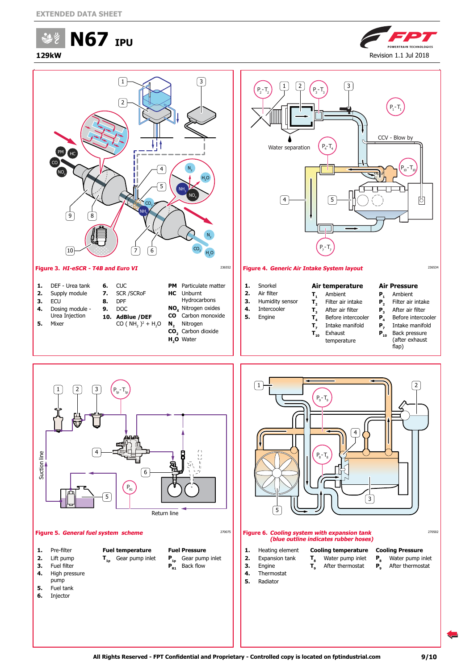**N67 IPU** 品乡







- **1.** Pre-filter
- **2.** Lift pump **3.** Fuel filter
- <span id="page-8-0"></span>**Fuel temperature T1p** Gear pump inlet
- **Fuel Pressure P1p** Gear pump inlet **P**<sub>R1</sub> Back flow
- **4.** High pressure pump
- **5.** Fuel tank
- **6.** Injector

**1.** Heating element **2.** Expansion tank **3.** Engine **4.** Thermostat **5.** Radiator

<span id="page-8-2"></span><span id="page-8-1"></span>**Cooling temperature**  $T_8$  Water pump inlet<br> $T_9$  After thermostat **T9** After thermostat

**All Rights Reserved - FPT Confidential and Proprietary - Controlled copy is located on fptindustrial.com 9/10**

**Cooling Pressure**<br>**P.** Water pump i **P<sub>8</sub>** Water pump inlet<br>**P**. After thermostat **P9** After thermostat